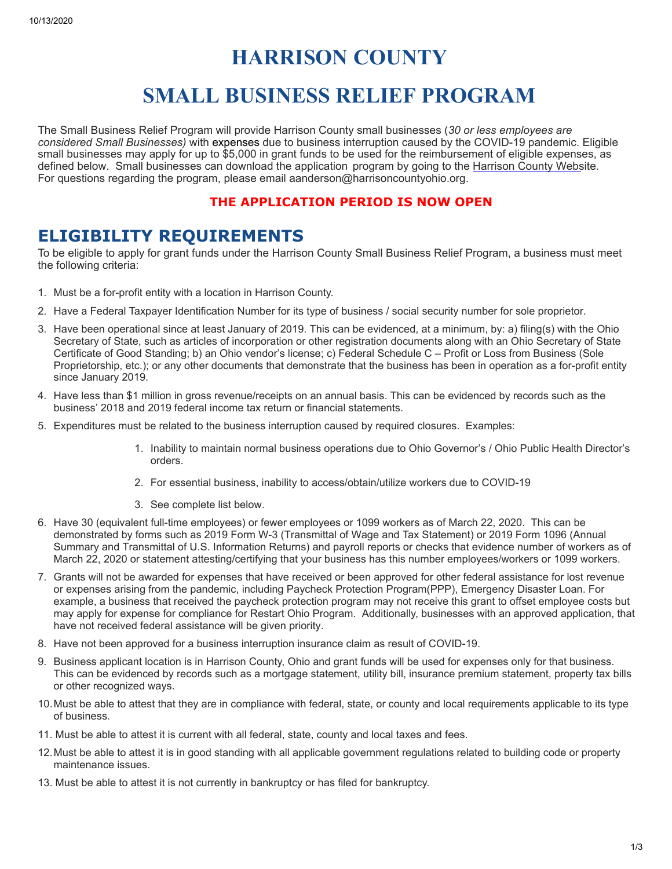# **HARRISON COUNTY**

# **SMALL BUSINESS RELIEF PROGRAM**

The Small Business Relief Program will provide Harrison County small businesses (*30 or less employees are considered Small Businesses)* with expenses due to business interruption caused by the COVID-19 pandemic. Eligible small businesses may apply for up to \$5,000 in grant funds to be used for the reimbursement of eligible expenses, as defined below. Small businesses can download the application program by going to the Harrison County Website. For questions regarding the program, please email aanderson@harrisoncountyohio.org.

#### **THE APPLICATION PERIOD IS NOW OPEN**

### **ELIGIBILITY REQUIREMENTS**

To be eligible to apply for grant funds under the Harrison County Small Business Relief Program, a business must meet the following criteria:

- 1. Must be a for-profit entity with a location in Harrison County.
- 2. Have a Federal Taxpayer Identification Number for its type of business / social security number for sole proprietor.
- 3. Have been operational since at least January of 2019. This can be evidenced, at a minimum, by: a) filing(s) with the Ohio Secretary of State, such as articles of incorporation or other registration documents along with an Ohio Secretary of State Certificate of Good Standing; b) an Ohio vendor's license; c) Federal Schedule C – Profit or Loss from Business (Sole Proprietorship, etc.); or any other documents that demonstrate that the business has been in operation as a for-profit entity since January 2019.
- 4. Have less than \$1 million in gross revenue/receipts on an annual basis. This can be evidenced by records such as the business' 2018 and 2019 federal income tax return or financial statements.
- 5. Expenditures must be related to the business interruption caused by required closures. Examples:
	- 1. Inability to maintain normal business operations due to Ohio Governor's / Ohio Public Health Director's orders.
	- 2. For essential business, inability to access/obtain/utilize workers due to COVID-19
	- 3. See complete list below.
- 6. Have 30 (equivalent full-time employees) or fewer employees or 1099 workers as of March 22, 2020. This can be demonstrated by forms such as 2019 Form W-3 (Transmittal of Wage and Tax Statement) or 2019 Form 1096 (Annual Summary and Transmittal of U.S. Information Returns) and payroll reports or checks that evidence number of workers as of March 22, 2020 or statement attesting/certifying that your business has this number employees/workers or 1099 workers.
- 7. Grants will not be awarded for expenses that have received or been approved for other federal assistance for lost revenue or expenses arising from the pandemic, including Paycheck Protection Program(PPP), Emergency Disaster Loan. For example, a business that received the paycheck protection program may not receive this grant to offset employee costs but may apply for expense for compliance for Restart Ohio Program. Additionally, businesses with an approved application, that have not received federal assistance will be given priority.
- 8. Have not been approved for a business interruption insurance claim as result of COVID-19.
- 9. Business applicant location is in Harrison County, Ohio and grant funds will be used for expenses only for that business. This can be evidenced by records such as a mortgage statement, utility bill, insurance premium statement, property tax bills or other recognized ways.
- 10.Must be able to attest that they are in compliance with federal, state, or county and local requirements applicable to its type of business.
- 11. Must be able to attest it is current with all federal, state, county and local taxes and fees.
- 12.Must be able to attest it is in good standing with all applicable government regulations related to building code or property maintenance issues.
- 13. Must be able to attest it is not currently in bankruptcy or has filed for bankruptcy.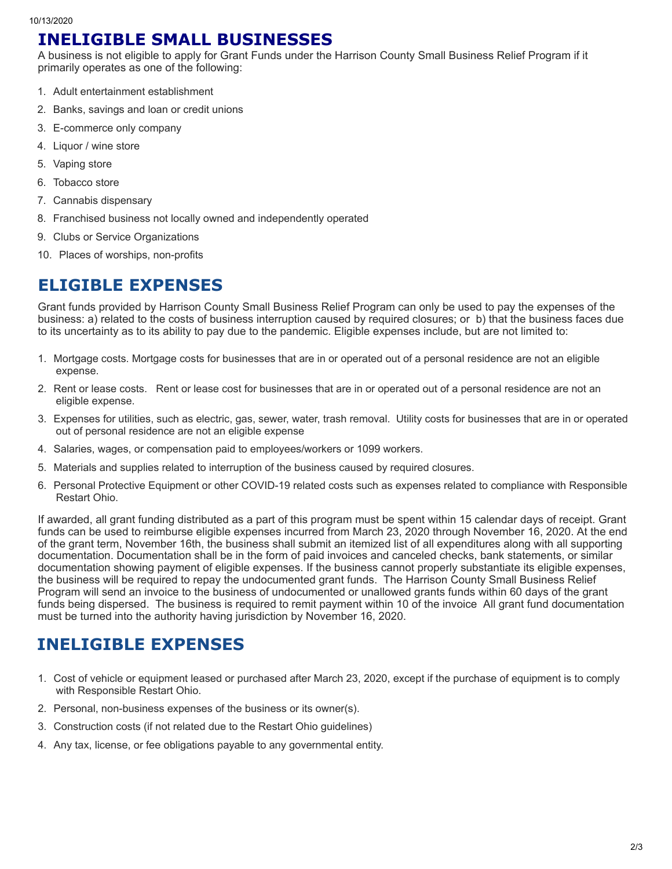### **INELIGIBLE SMALL BUSINESSES**

A business is not eligible to apply for Grant Funds under the Harrison County Small Business Relief Program if it primarily operates as one of the following:

- 1. Adult entertainment establishment
- 2. Banks, savings and loan or credit unions
- 3. E-commerce only company
- 4. Liquor / wine store
- 5. Vaping store
- 6. Tobacco store
- 7. Cannabis dispensary
- 8. Franchised business not locally owned and independently operated
- 9. Clubs or Service Organizations
- 10. Places of worships, non-profits

# **ELIGIBLE EXPENSES**

Grant funds provided by Harrison County Small Business Relief Program can only be used to pay the expenses of the business: a) related to the costs of business interruption caused by required closures; or b) that the business faces due to its uncertainty as to its ability to pay due to the pandemic. Eligible expenses include, but are not limited to:

- 1. Mortgage costs. Mortgage costs for businesses that are in or operated out of a personal residence are not an eligible expense.
- 2. Rent or lease costs. Rent or lease cost for businesses that are in or operated out of a personal residence are not an eligible expense.
- 3. Expenses for utilities, such as electric, gas, sewer, water, trash removal. Utility costs for businesses that are in or operated out of personal residence are not an eligible expense
- 4. Salaries, wages, or compensation paid to employees/workers or 1099 workers.
- 5. Materials and supplies related to interruption of the business caused by required closures.
- 6. Personal Protective Equipment or other COVID-19 related costs such as expenses related to compliance with Responsible Restart Ohio.

If awarded, all grant funding distributed as a part of this program must be spent within 15 calendar days of receipt. Grant funds can be used to reimburse eligible expenses incurred from March 23, 2020 through November 16, 2020. At the end of the grant term, November 16th, the business shall submit an itemized list of all expenditures along with all supporting documentation. Documentation shall be in the form of paid invoices and canceled checks, bank statements, or similar documentation showing payment of eligible expenses. If the business cannot properly substantiate its eligible expenses, the business will be required to repay the undocumented grant funds. The Harrison County Small Business Relief Program will send an invoice to the business of undocumented or unallowed grants funds within 60 days of the grant funds being dispersed. The business is required to remit payment within 10 of the invoice All grant fund documentation must be turned into the authority having jurisdiction by November 16, 2020.

# **INELIGIBLE EXPENSES**

- 1. Cost of vehicle or equipment leased or purchased after March 23, 2020, except if the purchase of equipment is to comply with Responsible Restart Ohio.
- 2. Personal, non-business expenses of the business or its owner(s).
- 3. Construction costs (if not related due to the Restart Ohio guidelines)
- 4. Any tax, license, or fee obligations payable to any governmental entity.